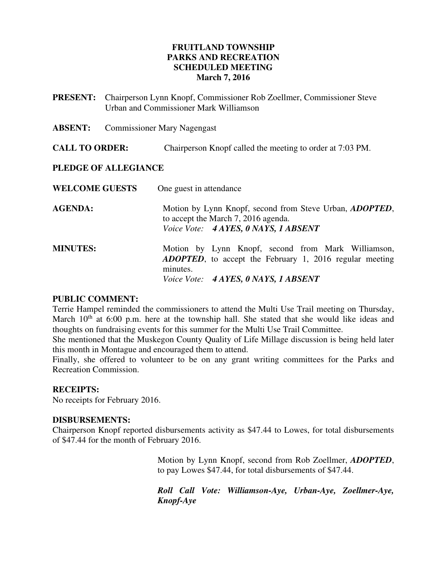### **FRUITLAND TOWNSHIP PARKS AND RECREATION SCHEDULED MEETING March 7, 2016**

- **PRESENT:** Chairperson Lynn Knopf, Commissioner Rob Zoellmer, Commissioner Steve Urban and Commissioner Mark Williamson
- **ABSENT:** Commissioner Mary Nagengast

**CALL TO ORDER:** Chairperson Knopf called the meeting to order at 7:03 PM.

#### **PLEDGE OF ALLEGIANCE**

| One guest in attendance                                                                                                                                                   |
|---------------------------------------------------------------------------------------------------------------------------------------------------------------------------|
| Motion by Lynn Knopf, second from Steve Urban, <i>ADOPTED</i> ,<br>to accept the March 7, 2016 agenda.<br>Voice Vote: 4 AYES, 0 NAYS, 1 ABSENT                            |
| Motion by Lynn Knopf, second from Mark Williamson,<br><b>ADOPTED</b> , to accept the February 1, 2016 regular meeting<br>minutes.<br>Voice Vote: 4 AYES, 0 NAYS, 1 ABSENT |
|                                                                                                                                                                           |

#### **PUBLIC COMMENT:**

Terrie Hampel reminded the commissioners to attend the Multi Use Trail meeting on Thursday, March  $10<sup>th</sup>$  at 6:00 p.m. here at the township hall. She stated that she would like ideas and thoughts on fundraising events for this summer for the Multi Use Trail Committee.

She mentioned that the Muskegon County Quality of Life Millage discussion is being held later this month in Montague and encouraged them to attend.

Finally, she offered to volunteer to be on any grant writing committees for the Parks and Recreation Commission.

#### **RECEIPTS:**

No receipts for February 2016.

#### **DISBURSEMENTS:**

Chairperson Knopf reported disbursements activity as \$47.44 to Lowes, for total disbursements of \$47.44 for the month of February 2016.

> Motion by Lynn Knopf, second from Rob Zoellmer, *ADOPTED*, to pay Lowes \$47.44, for total disbursements of \$47.44.

> *Roll Call Vote: Williamson-Aye, Urban-Aye, Zoellmer-Aye, Knopf-Aye*